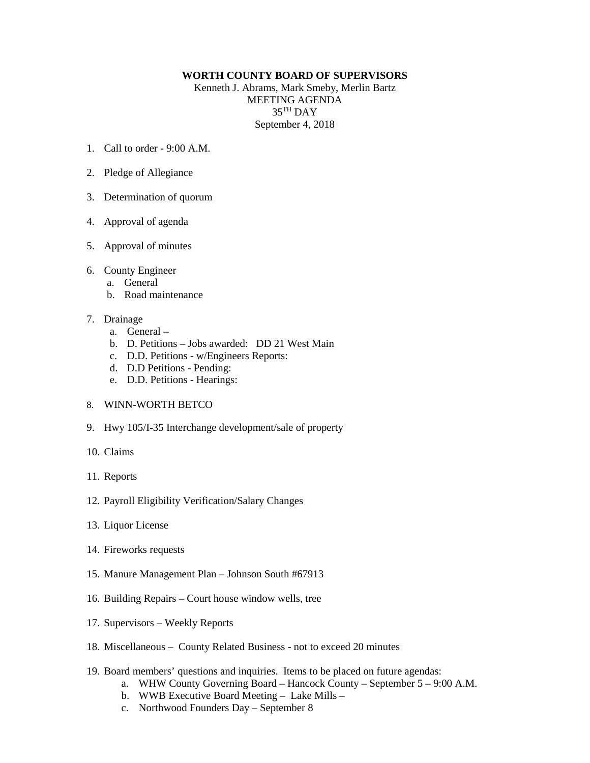## **WORTH COUNTY BOARD OF SUPERVISORS**

Kenneth J. Abrams, Mark Smeby, Merlin Bartz MEETING AGENDA 35TH DAY September 4, 2018

- 1. Call to order 9:00 A.M.
- 2. Pledge of Allegiance
- 3. Determination of quorum
- 4. Approval of agenda
- 5. Approval of minutes
- 6. County Engineer
	- a. General
	- b. Road maintenance
- 7. Drainage
	- a. General –
	- b. D. Petitions Jobs awarded: DD 21 West Main
	- c. D.D. Petitions w/Engineers Reports:
	- d. D.D Petitions Pending:
	- e. D.D. Petitions Hearings:
- 8. WINN-WORTH BETCO
- 9. Hwy 105/I-35 Interchange development/sale of property
- 10. Claims
- 11. Reports
- 12. Payroll Eligibility Verification/Salary Changes
- 13. Liquor License
- 14. Fireworks requests
- 15. Manure Management Plan Johnson South #67913
- 16. Building Repairs Court house window wells, tree
- 17. Supervisors Weekly Reports
- 18. Miscellaneous County Related Business not to exceed 20 minutes
- 19. Board members' questions and inquiries. Items to be placed on future agendas:
	- a. WHW County Governing Board Hancock County September 5 9:00 A.M.
	- b. WWB Executive Board Meeting Lake Mills –
	- c. Northwood Founders Day September 8